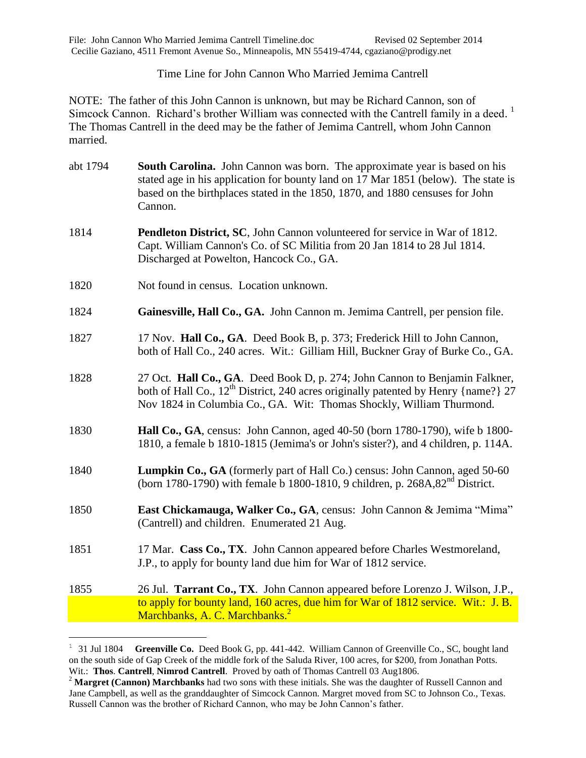## Time Line for John Cannon Who Married Jemima Cantrell

NOTE: The father of this John Cannon is unknown, but may be Richard Cannon, son of Simcock Cannon. Richard's brother William was connected with the Cantrell family in a deed.<sup>1</sup> The Thomas Cantrell in the deed may be the father of Jemima Cantrell, whom John Cannon married.

- abt 1794 **South Carolina.** John Cannon was born. The approximate year is based on his stated age in his application for bounty land on 17 Mar 1851 (below). The state is based on the birthplaces stated in the 1850, 1870, and 1880 censuses for John Cannon.
- 1814 **Pendleton District, SC**, John Cannon volunteered for service in War of 1812. Capt. William Cannon's Co. of SC Militia from 20 Jan 1814 to 28 Jul 1814. Discharged at Powelton, Hancock Co., GA.
- 1820 Not found in census. Location unknown.

 $\overline{a}$ 

- 1824 **Gainesville, Hall Co., GA.** John Cannon m. Jemima Cantrell, per pension file.
- 1827 17 Nov. **Hall Co., GA**. Deed Book B, p. 373; Frederick Hill to John Cannon, both of Hall Co., 240 acres. Wit.: Gilliam Hill, Buckner Gray of Burke Co., GA.
- 1828 27 Oct. **Hall Co., GA**. Deed Book D, p. 274; John Cannon to Benjamin Falkner, both of Hall Co.,  $12^{th}$  District, 240 acres originally patented by Henry {name?} 27 Nov 1824 in Columbia Co., GA. Wit: Thomas Shockly, William Thurmond.
- 1830 **Hall Co., GA**, census: John Cannon, aged 40-50 (born 1780-1790), wife b 1800- 1810, a female b 1810-1815 (Jemima's or John's sister?), and 4 children, p. 114A.
- 1840 **Lumpkin Co., GA** (formerly part of Hall Co.) census: John Cannon, aged 50-60 (born 1780-1790) with female b 1800-1810, 9 children, p. 268A,82nd District.
- 1850 **East Chickamauga, Walker Co., GA**, census: John Cannon & Jemima "Mima" (Cantrell) and children. Enumerated 21 Aug.
- 1851 17 Mar. **Cass Co., TX**. John Cannon appeared before Charles Westmoreland, J.P., to apply for bounty land due him for War of 1812 service.
- 1855 26 Jul. **Tarrant Co., TX**. John Cannon appeared before Lorenzo J. Wilson, J.P., to apply for bounty land, 160 acres, due him for War of 1812 service. Wit.: J. B. Marchbanks, A. C. Marchbanks.<sup>2</sup>

 $1 \quad 31$  Jul 1804 **Greenville Co.** Deed Book G, pp. 441-442. William Cannon of Greenville Co., SC, bought land on the south side of Gap Creek of the middle fork of the Saluda River, 100 acres, for \$200, from Jonathan Potts. Wit.: **Thos**. **Cantrell**, **Nimrod Cantrell**. Proved by oath of Thomas Cantrell 03 Aug1806.

<sup>&</sup>lt;sup>2</sup> Margret (Cannon) Marchbanks had two sons with these initials. She was the daughter of Russell Cannon and Jane Campbell, as well as the granddaughter of Simcock Cannon. Margret moved from SC to Johnson Co., Texas. Russell Cannon was the brother of Richard Cannon, who may be John Cannon's father.